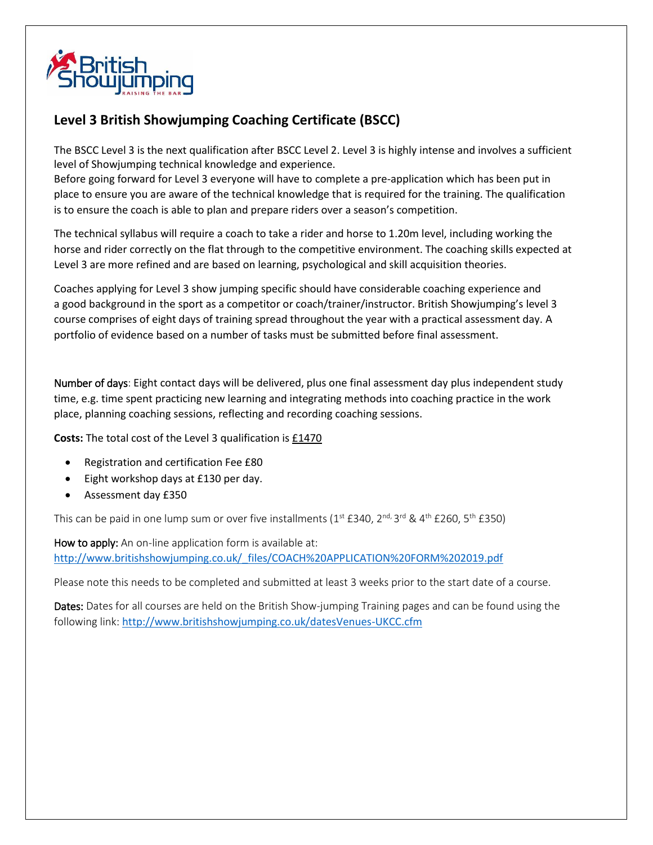

## **Level 3 British Showjumping Coaching Certificate (BSCC)**

The BSCC Level 3 is the next qualification after BSCC Level 2. Level 3 is highly intense and involves a sufficient level of Showjumping technical knowledge and experience.

Before going forward for Level 3 everyone will have to complete a pre-application which has been put in place to ensure you are aware of the technical knowledge that is required for the training. The qualification is to ensure the coach is able to plan and prepare riders over a season's competition.

The technical syllabus will require a coach to take a rider and horse to 1.20m level, including working the horse and rider correctly on the flat through to the competitive environment. The coaching skills expected at Level 3 are more refined and are based on learning, psychological and skill acquisition theories.

Coaches applying for Level 3 show jumping specific should have considerable coaching experience and a good background in the sport as a competitor or coach/trainer/instructor. British Showjumping's level 3 course comprises of eight days of training spread throughout the year with a practical assessment day. A portfolio of evidence based on a number of tasks must be submitted before final assessment.

Number of days: Eight contact days will be delivered, plus one final assessment day plus independent study time, e.g. time spent practicing new learning and integrating methods into coaching practice in the work place, planning coaching sessions, reflecting and recording coaching sessions.

**Costs:** The total cost of the Level 3 qualification is £1470

- Registration and certification Fee £80
- Eight workshop days at £130 per day.
- Assessment day £350

This can be paid in one lump sum or over five installments (1st £340, 2<sup>nd, 3rd</sup> & 4<sup>th</sup> £260, 5<sup>th</sup> £350)

How to apply: An on-line application form is available at: http://www.britishshowjumping.co.uk/\_files/COACH%20APPLICATION%20FORM%202019.pdf

Please note this needs to be completed and submitted at least 3 weeks prior to the start date of a course.

Dates: Dates for all courses are held on the British Show-jumping Training pages and can be found using the following link: <http://www.britishshowjumping.co.uk/datesVenues-UKCC.cfm>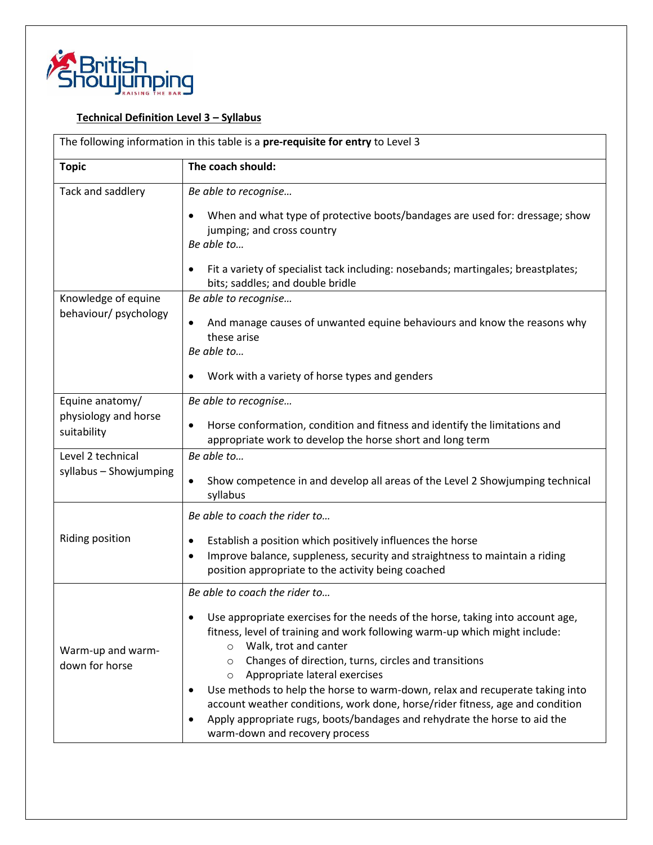

## **Technical Definition Level 3 – Syllabus**

| The following information in this table is a pre-requisite for entry to Level 3 |                                                                                                                                                                                                                                                                                                                                                                                                                                                                                                                                                                                                                                                    |  |
|---------------------------------------------------------------------------------|----------------------------------------------------------------------------------------------------------------------------------------------------------------------------------------------------------------------------------------------------------------------------------------------------------------------------------------------------------------------------------------------------------------------------------------------------------------------------------------------------------------------------------------------------------------------------------------------------------------------------------------------------|--|
| <b>Topic</b>                                                                    | The coach should:                                                                                                                                                                                                                                                                                                                                                                                                                                                                                                                                                                                                                                  |  |
| Tack and saddlery                                                               | Be able to recognise<br>When and what type of protective boots/bandages are used for: dressage; show<br>$\bullet$<br>jumping; and cross country<br>Be able to<br>Fit a variety of specialist tack including: nosebands; martingales; breastplates;<br>bits; saddles; and double bridle                                                                                                                                                                                                                                                                                                                                                             |  |
| Knowledge of equine<br>behaviour/ psychology                                    | Be able to recognise<br>And manage causes of unwanted equine behaviours and know the reasons why<br>$\bullet$<br>these arise<br>Be able to<br>Work with a variety of horse types and genders                                                                                                                                                                                                                                                                                                                                                                                                                                                       |  |
| Equine anatomy/<br>physiology and horse<br>suitability                          | Be able to recognise<br>Horse conformation, condition and fitness and identify the limitations and<br>$\bullet$<br>appropriate work to develop the horse short and long term                                                                                                                                                                                                                                                                                                                                                                                                                                                                       |  |
| Level 2 technical<br>syllabus - Showjumping                                     | Be able to<br>Show competence in and develop all areas of the Level 2 Showjumping technical<br>$\bullet$<br>syllabus                                                                                                                                                                                                                                                                                                                                                                                                                                                                                                                               |  |
| Riding position                                                                 | Be able to coach the rider to<br>Establish a position which positively influences the horse<br>$\bullet$<br>Improve balance, suppleness, security and straightness to maintain a riding<br>$\bullet$<br>position appropriate to the activity being coached                                                                                                                                                                                                                                                                                                                                                                                         |  |
| Warm-up and warm-<br>down for horse                                             | Be able to coach the rider to<br>Use appropriate exercises for the needs of the horse, taking into account age,<br>fitness, level of training and work following warm-up which might include:<br>Walk, trot and canter<br>$\circ$<br>Changes of direction, turns, circles and transitions<br>$\circ$<br>Appropriate lateral exercises<br>$\circ$<br>Use methods to help the horse to warm-down, relax and recuperate taking into<br>٠<br>account weather conditions, work done, horse/rider fitness, age and condition<br>Apply appropriate rugs, boots/bandages and rehydrate the horse to aid the<br>$\bullet$<br>warm-down and recovery process |  |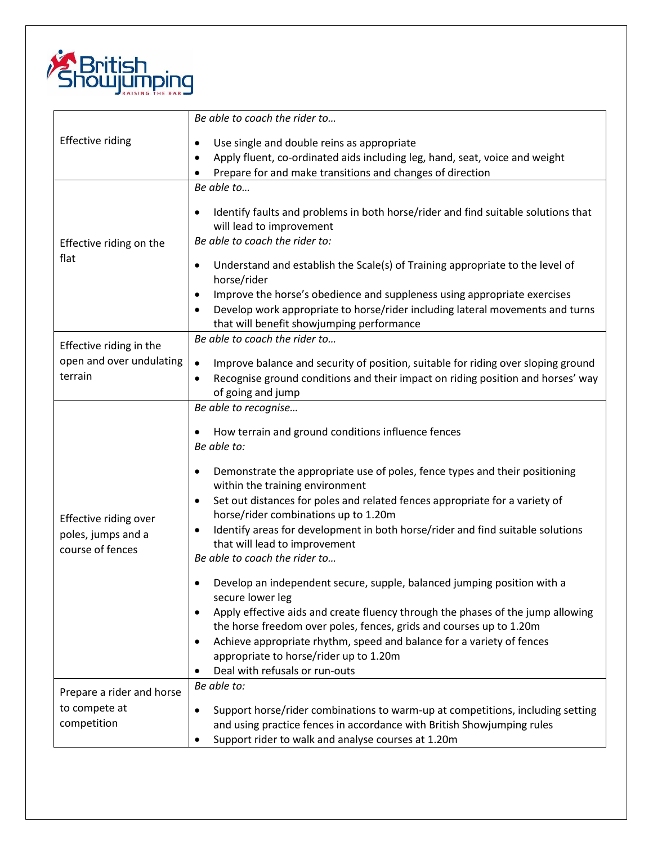

| <b>Effective riding</b>                                         | Be able to coach the rider to                                                                                                                                                                                                                                      |
|-----------------------------------------------------------------|--------------------------------------------------------------------------------------------------------------------------------------------------------------------------------------------------------------------------------------------------------------------|
|                                                                 | Use single and double reins as appropriate<br>$\bullet$                                                                                                                                                                                                            |
|                                                                 | Apply fluent, co-ordinated aids including leg, hand, seat, voice and weight<br>$\bullet$                                                                                                                                                                           |
|                                                                 | Prepare for and make transitions and changes of direction                                                                                                                                                                                                          |
| Effective riding on the<br>flat                                 | Be able to                                                                                                                                                                                                                                                         |
|                                                                 | Identify faults and problems in both horse/rider and find suitable solutions that<br>$\bullet$<br>will lead to improvement<br>Be able to coach the rider to:                                                                                                       |
|                                                                 | Understand and establish the Scale(s) of Training appropriate to the level of<br>$\bullet$<br>horse/rider                                                                                                                                                          |
|                                                                 | Improve the horse's obedience and suppleness using appropriate exercises<br>$\bullet$<br>Develop work appropriate to horse/rider including lateral movements and turns<br>$\bullet$<br>that will benefit showjumping performance                                   |
| Effective riding in the                                         | Be able to coach the rider to                                                                                                                                                                                                                                      |
| open and over undulating<br>terrain                             | Improve balance and security of position, suitable for riding over sloping ground<br>$\bullet$<br>Recognise ground conditions and their impact on riding position and horses' way<br>$\bullet$<br>of going and jump                                                |
|                                                                 | Be able to recognise                                                                                                                                                                                                                                               |
| Effective riding over<br>poles, jumps and a<br>course of fences | How terrain and ground conditions influence fences<br>$\bullet$<br>Be able to:                                                                                                                                                                                     |
|                                                                 | Demonstrate the appropriate use of poles, fence types and their positioning<br>$\bullet$<br>within the training environment<br>Set out distances for poles and related fences appropriate for a variety of<br>$\bullet$                                            |
|                                                                 | horse/rider combinations up to 1.20m<br>Identify areas for development in both horse/rider and find suitable solutions<br>$\bullet$<br>that will lead to improvement<br>Be able to coach the rider to                                                              |
|                                                                 | Develop an independent secure, supple, balanced jumping position with a<br>secure lower leg<br>Apply effective aids and create fluency through the phases of the jump allowing<br>$\bullet$<br>the horse freedom over poles, fences, grids and courses up to 1.20m |
|                                                                 | Achieve appropriate rhythm, speed and balance for a variety of fences<br>$\bullet$<br>appropriate to horse/rider up to 1.20m<br>Deal with refusals or run-outs                                                                                                     |
| Prepare a rider and horse                                       | Be able to:                                                                                                                                                                                                                                                        |
| to compete at<br>competition                                    | Support horse/rider combinations to warm-up at competitions, including setting<br>$\bullet$<br>and using practice fences in accordance with British Showjumping rules<br>Support rider to walk and analyse courses at 1.20m                                        |
|                                                                 |                                                                                                                                                                                                                                                                    |